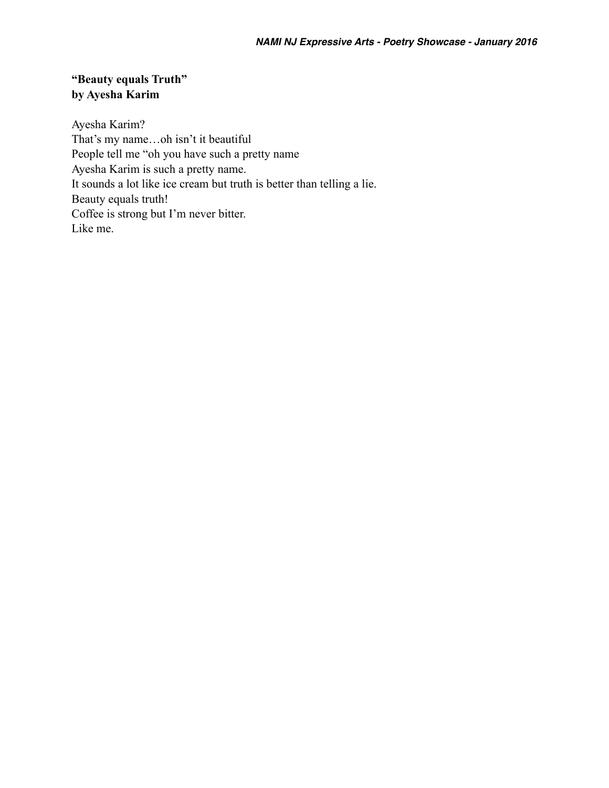# **"Beauty equals Truth" by Ayesha Karim**

Ayesha Karim? That's my name…oh isn't it beautiful People tell me "oh you have such a pretty name Ayesha Karim is such a pretty name. It sounds a lot like ice cream but truth is better than telling a lie. Beauty equals truth! Coffee is strong but I'm never bitter. Like me.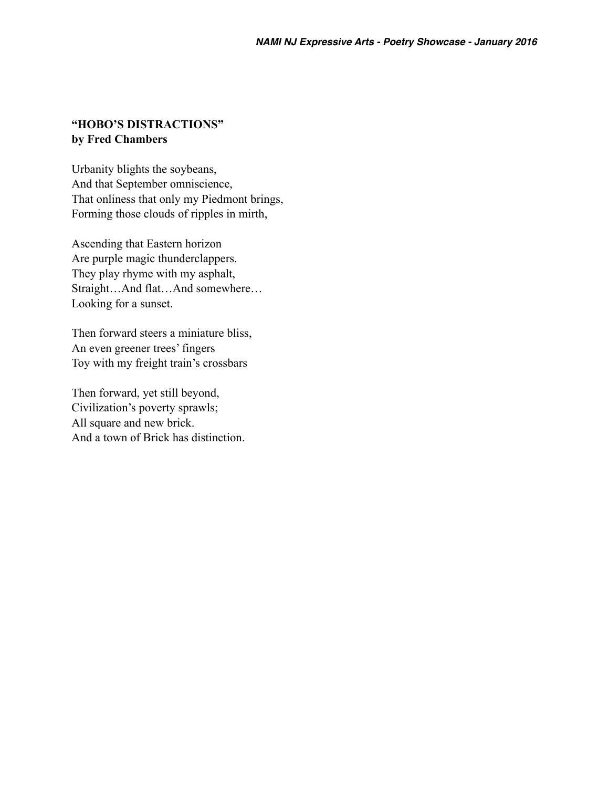#### **"HOBO'S DISTRACTIONS" by Fred Chambers**

Urbanity blights the soybeans, And that September omniscience, That onliness that only my Piedmont brings, Forming those clouds of ripples in mirth,

Ascending that Eastern horizon Are purple magic thunderclappers. They play rhyme with my asphalt, Straight…And flat…And somewhere… Looking for a sunset.

Then forward steers a miniature bliss, An even greener trees' fingers Toy with my freight train's crossbars

Then forward, yet still beyond, Civilization's poverty sprawls; All square and new brick. And a town of Brick has distinction.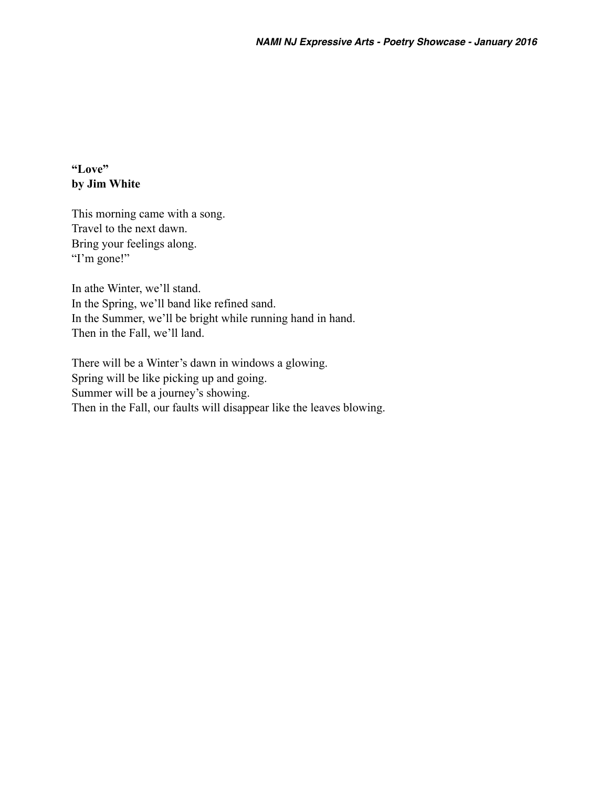# **"Love" by Jim White**

This morning came with a song. Travel to the next dawn. Bring your feelings along. "I'm gone!"

In athe Winter, we'll stand. In the Spring, we'll band like refined sand. In the Summer, we'll be bright while running hand in hand. Then in the Fall, we'll land.

There will be a Winter's dawn in windows a glowing. Spring will be like picking up and going. Summer will be a journey's showing. Then in the Fall, our faults will disappear like the leaves blowing.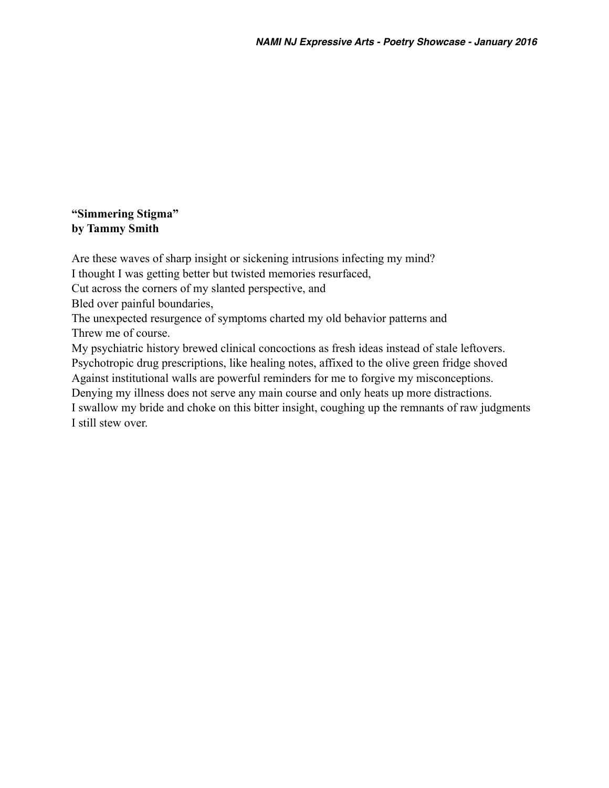# **"Simmering Stigma" by Tammy Smith**

Are these waves of sharp insight or sickening intrusions infecting my mind? I thought I was getting better but twisted memories resurfaced, Cut across the corners of my slanted perspective, and Bled over painful boundaries, The unexpected resurgence of symptoms charted my old behavior patterns and Threw me of course. My psychiatric history brewed clinical concoctions as fresh ideas instead of stale leftovers. Psychotropic drug prescriptions, like healing notes, affixed to the olive green fridge shoved Against institutional walls are powerful reminders for me to forgive my misconceptions. Denying my illness does not serve any main course and only heats up more distractions. I swallow my bride and choke on this bitter insight, coughing up the remnants of raw judgments I still stew over.